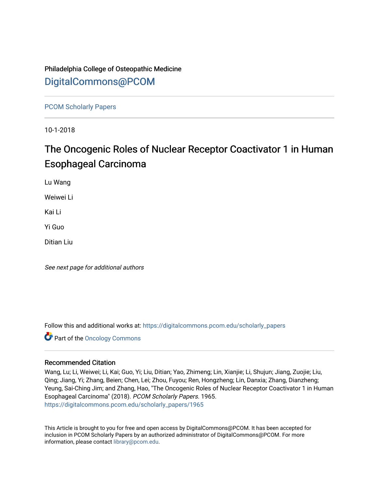# Philadelphia College of Osteopathic Medicine [DigitalCommons@PCOM](https://digitalcommons.pcom.edu/)

[PCOM Scholarly Papers](https://digitalcommons.pcom.edu/scholarly_papers) 

10-1-2018

# The Oncogenic Roles of Nuclear Receptor Coactivator 1 in Human Esophageal Carcinoma

Lu Wang

Weiwei Li

Kai Li

Yi Guo

Ditian Liu

See next page for additional authors

Follow this and additional works at: [https://digitalcommons.pcom.edu/scholarly\\_papers](https://digitalcommons.pcom.edu/scholarly_papers?utm_source=digitalcommons.pcom.edu%2Fscholarly_papers%2F1965&utm_medium=PDF&utm_campaign=PDFCoverPages) 

**Part of the Oncology Commons** 

# Recommended Citation

Wang, Lu; Li, Weiwei; Li, Kai; Guo, Yi; Liu, Ditian; Yao, Zhimeng; Lin, Xianjie; Li, Shujun; Jiang, Zuojie; Liu, Qing; Jiang, Yi; Zhang, Beien; Chen, Lei; Zhou, Fuyou; Ren, Hongzheng; Lin, Danxia; Zhang, Dianzheng; Yeung, Sai-Ching Jim; and Zhang, Hao, "The Oncogenic Roles of Nuclear Receptor Coactivator 1 in Human Esophageal Carcinoma" (2018). PCOM Scholarly Papers. 1965. [https://digitalcommons.pcom.edu/scholarly\\_papers/1965](https://digitalcommons.pcom.edu/scholarly_papers/1965?utm_source=digitalcommons.pcom.edu%2Fscholarly_papers%2F1965&utm_medium=PDF&utm_campaign=PDFCoverPages) 

This Article is brought to you for free and open access by DigitalCommons@PCOM. It has been accepted for inclusion in PCOM Scholarly Papers by an authorized administrator of DigitalCommons@PCOM. For more information, please contact [library@pcom.edu](mailto:library@pcom.edu).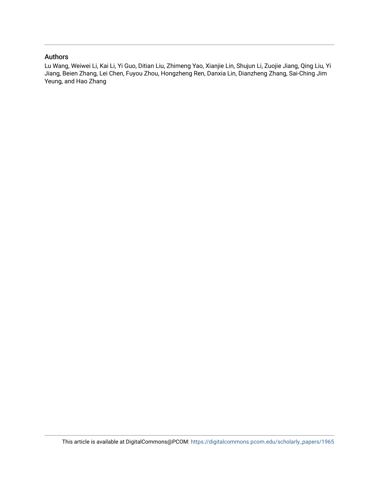# Authors

Lu Wang, Weiwei Li, Kai Li, Yi Guo, Ditian Liu, Zhimeng Yao, Xianjie Lin, Shujun Li, Zuojie Jiang, Qing Liu, Yi Jiang, Beien Zhang, Lei Chen, Fuyou Zhou, Hongzheng Ren, Danxia Lin, Dianzheng Zhang, Sai-Ching Jim Yeung, and Hao Zhang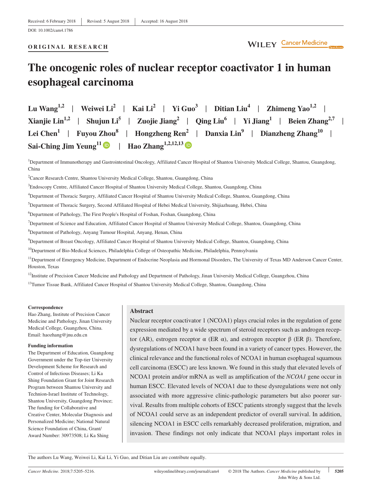# **ORIGINAL RESEARCH**

# **The oncogenic roles of nuclear receptor coactivator 1 in human esophageal carcinoma**

**Lu Wang**<sup>1,2</sup> | **Weiwei Li**<sup>2</sup> | **Kai Li**<sup>2</sup> | **Yi Guo**<sup>3</sup> | **Ditian Liu<sup>4</sup> | <b>Zhimeng Yao**<sup>1,2</sup> | **Xianjie Lin<sup>1,2</sup> | Shujun Li<sup>5</sup> | <b>Zuojie Jiang**<sup>2</sup> | **Qing Liu<sup>6</sup> | Yi Jiang**<sup>1</sup> | **Beien Zhang**<sup>2,7</sup> | **Lei Chen<sup>1</sup>** | **Fuyou Zhou<sup>8</sup>** | **Hongzheng Ren2** | **Danxia Lin9** | **Dianzheng Zhang10** |  $Sai-Ching Jim Yeung<sup>11</sup>$  $Sai-Ching Jim Yeung<sup>11</sup>$  $Sai-Ching Jim Yeung<sup>11</sup>$   $\bullet$  | **Hao Zhang**<sup>1,2,12,1[3](http://orcid.org/0000-0002-2860-5912)</sup>

<sup>1</sup>Department of Immunotherapy and Gastrointestinal Oncology, Affiliated Cancer Hospital of Shantou University Medical College, Shantou, Guangdong, China

<sup>2</sup>Cancer Research Centre, Shantou University Medical College, Shantou, Guangdong, China

3 Endoscopy Centre, Affiliated Cancer Hospital of Shantou University Medical College, Shantou, Guangdong, China

4 Department of Thoracic Surgery, Affiliated Cancer Hospital of Shantou University Medical College, Shantou, Guangdong, China

5 Department of Thoracic Surgery, Second Affiliated Hospital of Hebei Medical University, Shijiazhuang, Hebei, China

6 Department of Pathology, The First People's Hospital of Foshan, Foshan, Guangdong, China

<sup>7</sup>Department of Science and Education, Affiliated Cancer Hospital of Shantou University Medical College, Shantou, Guangdong, China

8 Department of Pathology, Anyang Tumour Hospital, Anyang, Henan, China

9 Department of Breast Oncology, Affiliated Cancer Hospital of Shantou University Medical College, Shantou, Guangdong, China

<sup>10</sup>Department of Bio-Medical Sciences, Philadelphia College of Osteopathic Medicine, Philadelphia, Pennsylvania

<sup>11</sup>Department of Emergency Medicine, Department of Endocrine Neoplasia and Hormonal Disorders, The University of Texas MD Anderson Cancer Center, Houston, Texas

<sup>12</sup>Institute of Precision Cancer Medicine and Pathology and Department of Pathology, Jinan University Medical College, Guangzhou, China

<sup>13</sup>Tumor Tissue Bank, Affiliated Cancer Hospital of Shantou University Medical College, Shantou, Guangdong, China

#### **Correspondence**

Hao Zhang, Institute of Precision Cancer Medicine and Pathology, Jinan University Medical College, Guangzhou, China. Email: [haozhang@jnu.edu.cn](mailto:haozhang@jnu.edu.cn)

#### **Funding information**

The Department of Education, Guangdong Government under the Top‐tier University Development Scheme for Research and Control of Infectious Diseases; Li Ka Shing Foundation Grant for Joint Research Program between Shantou University and Technion‐Israel Institute of Technology, Shantou University, Guangdong Province; The funding for Collaborative and Creative Center, Molecular Diagnosis and Personalized Medicine; National Natural Science Foundation of China, Grant/ Award Number: 30973508; Li Ka Shing

#### **Abstract**

Nuclear receptor coactivator 1 (NCOA1) plays crucial roles in the regulation of gene expression mediated by a wide spectrum of steroid receptors such as androgen receptor (AR), estrogen receptor α (ER α), and estrogen receptor β (ER β). Therefore, dysregulations of NCOA1 have been found in a variety of cancer types. However, the clinical relevance and the functional roles of NCOA1 in human esophageal squamous cell carcinoma (ESCC) are less known. We found in this study that elevated levels of NCOA1 protein and/or mRNA as well as amplification of the *NCOA1* gene occur in human ESCC. Elevated levels of NCOA1 due to these dysregulations were not only associated with more aggressive clinic‐pathologic parameters but also poorer survival. Results from multiple cohorts of ESCC patients strongly suggest that the levels of NCOA1 could serve as an independent predictor of overall survival. In addition, silencing NCOA1 in ESCC cells remarkably decreased proliferation, migration, and invasion. These findings not only indicate that NCOA1 plays important roles in

The authors Lu Wang, Weiwei Li, Kai Li, Yi Guo, and Ditian Liu are contribute equally.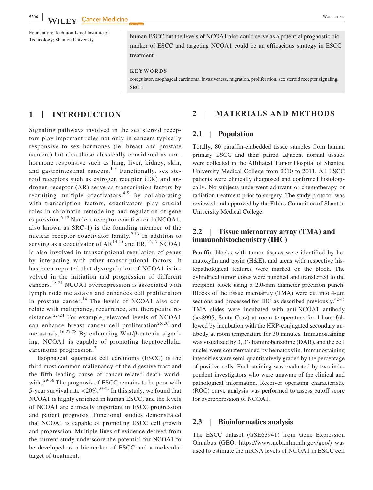Technology; Shantou University human ESCC but the levels of NCOA1 also could serve as a potential prognostic biomarker of ESCC and targeting NCOA1 could be an efficacious strategy in ESCC treatment.

**KEYWORDS**

coregulator, esophageal carcinoma, invasiveness, migration, proliferation, sex steroid receptor signaling, SRC‐1

## **1** | **INTRODUCTION**

Signaling pathways involved in the sex steroid receptors play important roles not only in cancers typically responsive to sex hormones (ie, breast and prostate cancers) but also those classically considered as non‐ hormone responsive such as lung, liver, kidney, skin, and gastrointestinal cancers.<sup>1-3</sup> Functionally, sex steroid receptors such as estrogen receptor (ER) and androgen receptor (AR) serve as transcription factors by recruiting multiple coactivators.<sup>4,5</sup> By collaborating with transcription factors, coactivators play crucial roles in chromatin remodeling and regulation of gene expression.<sup>6-12</sup> Nuclear receptor coactivator 1 (NCOA1, also known as SRC‐1) is the founding member of the nuclear receptor coactivator family.<sup>2,13</sup> In addition to serving as a coactivator of  $AR^{14,15}$  and ER,<sup>16,17</sup> NCOA1 is also involved in transcriptional regulation of genes by interacting with other transcriptional factors. It has been reported that dysregulation of NCOA1 is involved in the initiation and progression of different cancers.18-21 NCOA1 overexpression is associated with lymph node metastasis and enhances cell proliferation in prostate cancer.<sup>14</sup> The levels of NCOA1 also correlate with malignancy, recurrence, and therapeutic resistance. $22-24$  For example, elevated levels of NCOA1 can enhance breast cancer cell proliferation<sup>25,26</sup> and metastasis.<sup>16,27,28</sup> By enhancing Wnt/ $\beta$ -catenin signaling, NCOA1 is capable of promoting hepatocellular carcinoma progression.<sup>2</sup>

Esophageal squamous cell carcinoma (ESCC) is the third most common malignancy of the digestive tract and the fifth leading cause of cancer‐related death worldwide.<sup>29-36</sup> The prognosis of ESCC remains to be poor with 5-year survival rate  $\langle 20\% \cdot 37-41 \rangle$  In this study, we found that NCOA1 is highly enriched in human ESCC, and the levels of NCOA1 are clinically important in ESCC progression and patient prognosis. Functional studies demonstrated that NCOA1 is capable of promoting ESCC cell growth and progression. Multiple lines of evidence derived from the current study underscore the potential for NCOA1 to be developed as a biomarker of ESCC and a molecular target of treatment.

# **2** | **MATERIALS AND METHODS**

### **2.1** | **Population**

Totally, 80 paraffin‐embedded tissue samples from human primary ESCC and their paired adjacent normal tissues were collected in the Affiliated Tumor Hospital of Shantou University Medical College from 2010 to 2011. All ESCC patients were clinically diagnosed and confirmed histologically. No subjects underwent adjuvant or chemotherapy or radiation treatment prior to surgery. The study protocol was reviewed and approved by the Ethics Committee of Shantou University Medical College.

# **2.2** | **Tissue microarray array (TMA) and immunohistochemistry (IHC)**

Paraffin blocks with tumor tissues were identified by hematoxylin and eosin (H&E), and areas with respective histopathological features were marked on the block. The cylindrical tumor cores were punched and transferred to the recipient block using a 2.0‐mm diameter precision punch. Blocks of the tissue microarray (TMA) were cut into 4‐μm sections and processed for IHC as described previously.<sup>42-45</sup> TMA slides were incubated with anti-NCOA1 antibody (sc‐8995, Santa Cruz) at room temperature for 1 hour followed by incubation with the HRP‐conjugated secondary antibody at room temperature for 30 minutes. Immunostaining was visualized by 3, 3′‐diaminobenzidine (DAB), and the cell nuclei were counterstained by hematoxylin. Immunostaining intensities were semi‐quantitatively graded by the percentage of positive cells. Each staining was evaluated by two independent investigators who were unaware of the clinical and pathological information. Receiver operating characteristic (ROC) curve analysis was performed to assess cutoff score for overexpression of NCOA1.

## **2.3** | **Bioinformatics analysis**

The ESCC dataset (GSE63941) from Gene Expression Omnibus (GEO; [https://www.ncbi.nlm.nih.gov/geo/\)](https://www.ncbi.nlm.nih.gov/geo/) was used to estimate the mRNA levels of NCOA1 in ESCC cell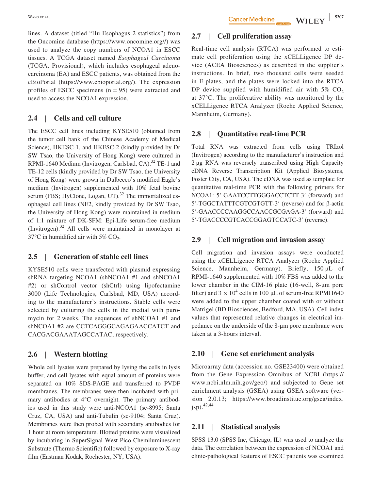lines. A dataset (titled "Hu Esophagus 2 statistics") from the Oncomine database (<https://www.oncomine.org/>/) was used to analyze the copy numbers of NCOA1 in ESCC tissues. A TCGA dataset named *Esophageal Carcinoma* (TCGA, Provisional), which includes esophageal adenocarcinoma (EA) and ESCC patients, was obtained from the cBioPortal [\(https://www.cbioportal.org/](https://www.cbioportal.org/)). The expression profiles of ESCC specimens  $(n = 95)$  were extracted and used to access the NCOA1 expression.

# **2.4** | **Cells and cell culture**

The ESCC cell lines including KYSE510 (obtained from the tumor cell bank of the Chinese Academy of Medical Science), HKESC‐1, and HKESC‐2 (kindly provided by Dr SW Tsao, the University of Hong Kong) were cultured in RPMI-1640 Medium (Invitrogen, Carlsbad, CA).<sup>32</sup> TE-1 and TE-12 cells (kindly provided by Dr SW Tsao, the University of Hong Kong) were grown in Dulbecco's modified Eagle's medium (Invitrogen) supplemented with 10% fetal bovine serum (FBS; HyClone, Logan, UT). $32$  The immortalized esophageal cell lines (NE2, kindly provided by Dr SW Tsao, the University of Hong Kong) were maintained in medium of 1:1 mixture of DK‐SFM: Epi‐Life serum‐free medium (Invitrogen).<sup>32</sup> All cells were maintained in monolayer at  $37^{\circ}$ C in humidified air with 5% CO<sub>2</sub>.

# **2.5** | **Generation of stable cell lines**

KYSE510 cells were transfected with plasmid expressing shRNA targeting NCOA1 (shNCOA1 #1 and shNCOA1 #2) or shControl vector (shCtrl) using lipofectamine 3000 (Life Technologies, Carlsbad, MD, USA) according to the manufacturer's instructions. Stable cells were selected by culturing the cells in the medial with puromycin for 2 weeks. The sequences of shNCOA1 #1 and shNCOA1 #2 are CCTCAGGGCAGAGAACCATCT and CACGACGAAATAGCCATAC, respectively.

# **2.6** | **Western blotting**

Whole cell lysates were prepared by lysing the cells in lysis buffer, and cell lysates with equal amount of proteins were separated on 10% SDS‐PAGE and transferred to PVDF membranes. The membranes were then incubated with primary antibodies at 4°C overnight. The primary antibodies used in this study were anti‐NCOA1 (sc‐8995; Santa Cruz, CA, USA) and anti‐Tubulin (sc‐9104; Santa Cruz). Membranes were then probed with secondary antibodies for 1 hour at room temperature. Blotted proteins were visualized by incubating in SuperSignal West Pico Chemiluminescent Substrate (Thermo Scientific) followed by exposure to X‐ray film (Eastman Kodak, Rochester, NY, USA).

# **2.7** | **Cell proliferation assay**

Real-time cell analysis (RTCA) was performed to estimate cell proliferation using the xCELLigence DP device (ACEA Biosciences) as described in the supplier's instructions. In brief, two thousand cells were seeded in E‐plates, and the plates were locked into the RTCA DP device supplied with humidified air with  $5\%$  CO<sub>2</sub> at 37°C. The proliferative ability was monitored by the xCELLigence RTCA Analyzer (Roche Applied Science, Mannheim, Germany).

# **2.8** | **Quantitative real‐time PCR**

Total RNA was extracted from cells using TRIzol (Invitrogen) according to the manufacturer's instruction and 2 μg RNA was reversely transcribed using High Capacity cDNA Reverse Transcription Kit (Applied Biosystems, Foster City, CA, USA). The cDNA was used as template for quantitative real‐time PCR with the following primers for NCOA1: 5′‐GAATCCTTGGGACCTCTT‐3′ (forward) and 5′‐TGGCTATTTCGTCGTGTT‐3′ (reverse) and for β‐actin 5′‐GAACCCCAAGGCCAACCGCGAGA‐3′ (forward) and 5′‐TGACCCCGTCACCGGAGTCCATC‐3′ (reverse).

## **2.9** | **Cell migration and invasion assay**

Cell migration and invasion assays were conducted using the xCELLigence RTCA Analyzer (Roche Applied Science, Mannheim, Germany). Briefly, 150 μL of RPMI‐1640 supplemented with 10% FBS was added to the lower chamber in the CIM‐16 plate (16‐well, 8‐μm pore filter) and  $3 \times 10^4$  cells in 100 µL of serum-free RPMI1640 were added to the upper chamber coated with or without Matrigel (BD Biosciences, Bedford, MA, USA). Cell index values that represented relative changes in electrical impedance on the underside of the 8‐μm pore membrane were taken at a 3‐hours interval.

#### **2.10** | **Gene set enrichment analysis**

Microarray data (accession no. GSE23400) were obtained from the Gene Expression Omnibus of NCBI [\(https://](https://www.ncbi.nlm.nih.gov/geo/) [www.ncbi.nlm.nih.gov/geo/](https://www.ncbi.nlm.nih.gov/geo/)) and subjected to Gene set enrichment analysis (GSEA) using GSEA software (version 2.0.13; [https://www.broadinstitue.org/gsea/index.](https://www.broadinstitue.org/gsea/index.jsp) [jsp](https://www.broadinstitue.org/gsea/index.jsp)).42,44

### **2.11** | **Statistical analysis**

SPSS 13.0 (SPSS Inc, Chicago, IL) was used to analyze the data. The correlation between the expression of NCOA1 and clinic‐pathological features of ESCC patients was examined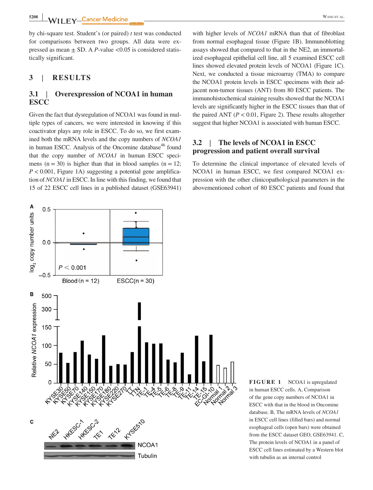**5208 WILEY-Cancer Medicine CONSERVING ET AL.** 

by chi‐square test. Student's (or paired) *t* test was conducted for comparisons between two groups. All data were expressed as mean  $\pm$  SD. A *P*-value <0.05 is considered statistically significant.

### **3** | **RESULTS**

# **3.1** | **Overexpression of NCOA1 in human ESCC**

Given the fact that dysregulation of NCOA1 was found in multiple types of cancers, we were interested in knowing if this coactivator plays any role in ESCC. To do so, we first examined both the mRNA levels and the copy numbers of *NCOA1* in human ESCC. Analysis of the Oncomine database<sup>46</sup> found that the copy number of *NCOA1* in human ESCC specimens ( $n = 30$ ) is higher than that in blood samples ( $n = 12$ ;  $P < 0.001$ , Figure 1A) suggesting a potential gene amplification of *NCOA1* in ESCC. In line with this finding, we found that 15 of 22 ESCC cell lines in a published dataset (GSE63941)

with higher levels of *NCOA1* mRNA than that of fibroblast from normal esophageal tissue (Figure 1B). Immunoblotting assays showed that compared to that in the NE2, an immortalized esophageal epithelial cell line, all 5 examined ESCC cell lines showed elevated protein levels of NCOA1 (Figure 1C). Next, we conducted a tissue microarray (TMA) to compare the NCOA1 protein levels in ESCC specimens with their adjacent non‐tumor tissues (ANT) from 80 ESCC patients. The immunohistochemical staining results showed that the NCOA1 levels are significantly higher in the ESCC tissues than that of the paired ANT  $(P < 0.01$ , Figure 2). These results altogether suggest that higher NCOA1 is associated with human ESCC.

# **3.2** | **The levels of NCOA1 in ESCC progression and patient overall survival**

To determine the clinical importance of elevated levels of NCOA1 in human ESCC, we first compared NCOA1 expression with the other clinicopathological parameters in the abovementioned cohort of 80 ESCC patients and found that



**FIGURE 1** NCOA1 is upregulated in human ESCC cells. A, Comparison of the gene copy numbers of NCOA1 in ESCC with that in the blood in Oncomine database. B, The mRNA levels of *NCOA1* in ESCC cell lines (filled bars) and normal esophageal cells (open bars) were obtained from the ESCC dataset GEO, GSE63941. C, The protein levels of NCOA1 in a panel of ESCC cell lines estimated by a Western blot with tubulin as an internal control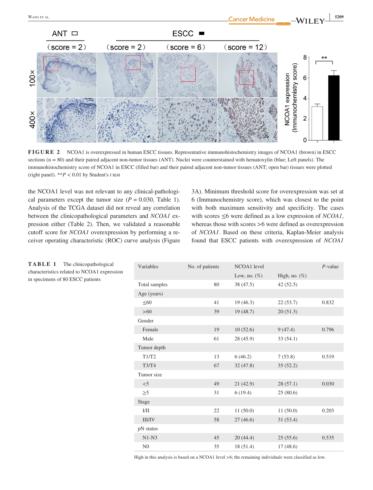

**FIGURE 2** NCOA1 is overexpressed in human ESCC tissues. Representative immunohistochemistry images of NCOA1 (brown) in ESCC sections  $(n = 80)$  and their paired adjacent non-tumor tissues (ANT). Nuclei were counterstained with hematoxylin (blue; Left panels). The immunohistochemistry score of NCOA1 in ESCC (filled bar) and their paired adjacent non-tumor tissues (ANT; open bar) tissues were plotted (right panel). \*\**P* < 0.01 by Student's *t* test

the NCOA1 level was not relevant to any clinical‐pathological parameters except the tumor size  $(P = 0.030,$  Table 1). Analysis of the TCGA dataset did not reveal any correlation between the clinicopathological parameters and *NCOA1* expression either (Table 2). Then, we validated a reasonable cutoff score for *NCOA1* overexpression by performing a receiver operating characteristic (ROC) curve analysis (Figure

3A). Minimum threshold score for overexpression was set at 6 (Immunochemistry score), which was closest to the point with both maximum sensitivity and specificity. The cases with scores ≤6 were defined as a low expression of *NCOA1*, whereas those with scores >6 were defined as overexpression of *NCOA1*. Based on these criteria, Kaplan‐Meier analysis found that ESCC patients with overexpression of *NCOA1*

 $\Omega$ 

| Variables     | No. of patients | NCOA1 level     |                  | $P$ -value |
|---------------|-----------------|-----------------|------------------|------------|
|               |                 | Low, no. $(\%)$ | High, no. $(\%)$ |            |
| Total samples | 80              | 38 (47.5)       | 42(52.5)         |            |
| Age (years)   |                 |                 |                  |            |
| $\leq 60$     | 41              | 19(46.3)        | 22(53.7)         | 0.832      |
| $>60$         | 39              | 19(48.7)        | 20(51.3)         |            |
| Gender        |                 |                 |                  |            |
| Female        | 19              | 10(52.6)        | 9(47.4)          | 0.796      |
| Male          | 61              | 28 (45.9)       | 33(54.1)         |            |
| Tumor depth   |                 |                 |                  |            |
| T1/T2         | 13              | 6(46.2)         | 7(53.8)          | 0.519      |
| <b>T3/T4</b>  | 67              | 32(47.8)        | 35(52.2)         |            |
| Tumor size    |                 |                 |                  |            |
| $<$ 5         | 49              | 21(42.9)        | 28(57.1)         | 0.030      |
| $\geq 5$      | 31              | 6(19.4)         | 25(80.6)         |            |
| Stage         |                 |                 |                  |            |
| I/II          | 22              | 11(50.0)        | 11(50.0)         | 0.203      |
| <b>III/IV</b> | 58              | 27(46.6)        | 31(53.4)         |            |
| pN status     |                 |                 |                  |            |
| $N1-N3$       | 45              | 20(44.4)        | 25(55.6)         | 0.535      |
| ${\rm N0}$    | 35              | 18(51.4)        | 17(48.6)         |            |

**TABLE 1** The clinicopathological characteristics related to NCOA1 expression in specimens of 80 ESCC patients

High in this analysis is based on a NCOA1 level >6; the remaining individuals were classified as low.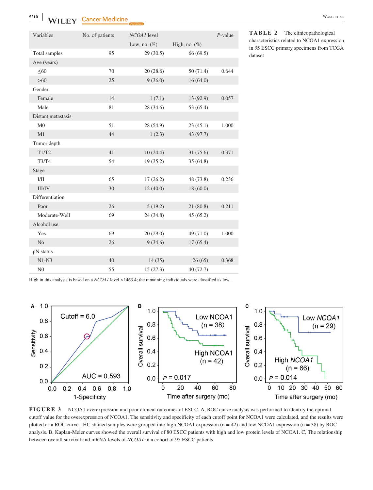**5210** WILEY-Cancer Medicine **CONSERVING ET AL.** 

| Variables          | No. of patients | NCOA1 level     |                  | $P$ -value |
|--------------------|-----------------|-----------------|------------------|------------|
|                    |                 | Low, no. $(\%)$ | High, no. $(\%)$ |            |
| Total samples      | 95              | 29(30.5)        | 66 (69.5)        |            |
| Age (years)        |                 |                 |                  |            |
| $\leq 60$          | 70              | 20(28.6)        | 50(71.4)         | 0.644      |
| $>60$              | 25              | 9(36.0)         | 16(64.0)         |            |
| Gender             |                 |                 |                  |            |
| Female             | 14              | 1(7.1)          | 13 (92.9)        | 0.057      |
| Male               | 81              | 28 (34.6)       | 53 (65.4)        |            |
| Distant metastasis |                 |                 |                  |            |
| M <sub>0</sub>     | 51              | 28 (54.9)       | 23(45.1)         | 1.000      |
| M1                 | 44              | 1(2.3)          | 43 (97.7)        |            |
| Tumor depth        |                 |                 |                  |            |
| T1/T2              | 41              | 10(24.4)        | 31(75.6)         | 0.371      |
| T3/T4              | 54              | 19(35.2)        | 35(64.8)         |            |
| Stage              |                 |                 |                  |            |
| 1/11               | 65              | 17(26.2)        | 48 (73.8)        | 0.236      |
| III/IV             | 30              | 12(40.0)        | 18(60.0)         |            |
| Differentiation    |                 |                 |                  |            |
| Poor               | 26              | 5(19.2)         | 21(80.8)         | 0.211      |
| Moderate-Well      | 69              | 24 (34.8)       | 45(65.2)         |            |
| Alcohol use        |                 |                 |                  |            |
| Yes                | 69              | 20(29.0)        | 49 (71.0)        | 1.000      |
| N <sub>o</sub>     | 26              | 9(34.6)         | 17(65.4)         |            |
| pN status          |                 |                 |                  |            |
| $N1-N3$            | 40              | 14(35)          | 26(65)           | 0.368      |
| N <sub>0</sub>     | 55              | 15(27.3)        | 40(72.7)         |            |

**TABLE 2** The clinicopathological characteristics related to NCOA1 expression in 95 ESCC primary specimens from TCGA dataset

High in this analysis is based on a *NCOA1* level >1463.4; the remaining individuals were classified as low.



**FIGURE 3** NCOA1 overexpression and poor clinical outcomes of ESCC. A, ROC curve analysis was performed to identify the optimal cutoff value for the overexpression of NCOA1. The sensitivity and specificity of each cutoff point for NCOA1 were calculated, and the results were plotted as a ROC curve. IHC stained samples were grouped into high NCOA1 expression (n = 42) and low NCOA1 expression (n = 38) by ROC analysis. B, Kaplan‐Meier curves showed the overall survival of 80 ESCC patients with high and low protein levels of NCOA1. C, The relationship between overall survival and mRNA levels of *NCOA1* in a cohort of 95 ESCC patients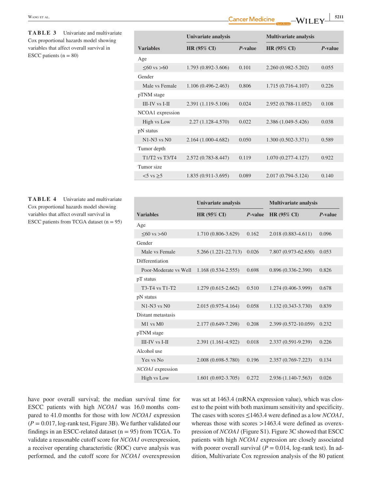| <b>TABLE 3</b> Univariate and multivariate |  |
|--------------------------------------------|--|
| Cox proportional hazards model showing     |  |
| variables that affect overall survival in  |  |
| ESCC patients $(n = 80)$                   |  |

|                       | Univariate analysis   |         | <b>Multivariate analysis</b> |         |
|-----------------------|-----------------------|---------|------------------------------|---------|
| <b>Variables</b>      | <b>HR (95% CI)</b>    | P-value | <b>HR (95% CI)</b>           | P-value |
| Age                   |                       |         |                              |         |
| $\leq 60$ vs $> 60$   | 1.793 (0.892-3.606)   | 0.101   | 2.260 (0.982-5.202)          | 0.055   |
| Gender                |                       |         |                              |         |
| Male vs Female        | 1.106 (0.496-2.463)   | 0.806   | $1.715(0.716-4.107)$         | 0.226   |
| pTNM stage            |                       |         |                              |         |
| <b>III-IV</b> vs I-II | 2.391 (1.119-5.106)   | 0.024   | 2.952 (0.788-11.052)         | 0.108   |
| NCOA1 expression      |                       |         |                              |         |
| High vs Low           | $2.27(1.128 - 4.570)$ | 0.022   | 2.386 (1.049-5.426)          | 0.038   |
| pN status             |                       |         |                              |         |
| $N1-N3$ vs $N0$       | 2.164 (1.000-4.682)   | 0.050   | $1.300(0.502 - 3.371)$       | 0.589   |
| Tumor depth           |                       |         |                              |         |
| $T1/T2$ vs $T3/T4$    | 2.572 (0.783-8.447)   | 0.119   | $1.070(0.277 - 4.127)$       | 0.922   |
| Tumor size            |                       |         |                              |         |
| $5$ vs $\geq$ 5       | $1.835(0.911-3.695)$  | 0.089   | 2.017 (0.794-5.124)          | 0.140   |

**TABLE 4** Univariate and multivariate Cox proportional hazards model showing variables that affect overall survival in ESCC patients from TCGA dataset  $(n = 95)$ 

|                         | Univariate analysis    |         | <b>Multivariate analysis</b> |         |
|-------------------------|------------------------|---------|------------------------------|---------|
| <b>Variables</b>        | <b>HR (95% CI)</b>     | P-value | <b>HR (95% CI)</b>           | P-value |
| Age                     |                        |         |                              |         |
| $560 \text{ vs } > 60$  | 1.710 (0.806-3.629)    | 0.162   | $2.018(0.883 - 4.611)$       | 0.096   |
| Gender                  |                        |         |                              |         |
| Male vs Female          | 5.266 (1.221-22.713)   | 0.026   | 7.807 (0.973-62.650)         | 0.053   |
| Differentiation         |                        |         |                              |         |
| Poor-Moderate vs Well   | $1.168(0.534 - 2.555)$ | 0.698   | $0.896(0.336-2.390)$         | 0.826   |
| pT status               |                        |         |                              |         |
| T3-T4 vs T1-T2          | $1.279(0.615 - 2.662)$ | 0.510   | 1.274 (0.406-3.999)          | 0.678   |
| pN status               |                        |         |                              |         |
| $N1-N3$ vs $N0$         | $2.015(0.975-4.164)$   | 0.058   | $1.132(0.343 - 3.730)$       | 0.839   |
| Distant metastasis      |                        |         |                              |         |
| $M1$ vs $M0$            | 2.177 (0.649-7.298)    | 0.208   | 2.399 (0.572-10.059)         | 0.232   |
| pTNM stage              |                        |         |                              |         |
| III-IV vs I-II          | 2.391 (1.161-4.922)    | 0.018   | 2.337 (0.591-9.239)          | 0.226   |
| Alcohol use             |                        |         |                              |         |
| Yes vs No               | 2.008 (0.698-5.780)    | 0.196   | 2.357 (0.769-7.223)          | 0.134   |
| <i>NCOA1</i> expression |                        |         |                              |         |
| High vs Low             | $1.601(0.692 - 3.705)$ | 0.272   | 2.936 (1.140-7.563)          | 0.026   |
|                         |                        |         |                              |         |

have poor overall survival; the median survival time for ESCC patients with high *NCOA1* was 16.0 months compared to 41.0 months for those with low *NCOA1* expression (*P* = 0.017, log‐rank test, Figure 3B). We further validated our findings in an ESCC-related dataset ( $n = 95$ ) from TCGA. To validate a reasonable cutoff score for *NCOA1* overexpression, a receiver operating characteristic (ROC) curve analysis was performed, and the cutoff score for *NCOA1* overexpression was set at 1463.4 (mRNA expression value), which was closest to the point with both maximum sensitivity and specificity. The cases with scores ≤1463.4 were defined as a low *NCOA1*, whereas those with scores >1463.4 were defined as overexpression of *NCOA1* (Figure S1). Figure 3C showed that ESCC patients with high *NCOA1* expression are closely associated with poorer overall survival ( $P = 0.014$ , log-rank test). In addition, Multivariate Cox regression analysis of the 80 patient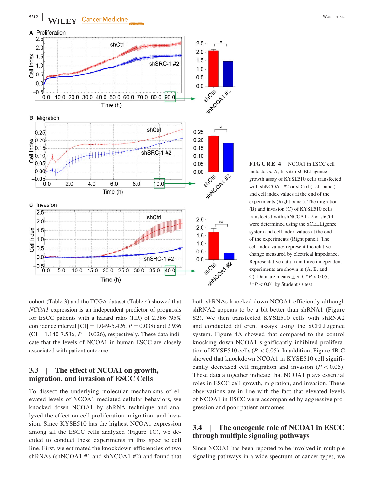

**FIGURE 4** NCOA1 in ESCC cell metastasis. A, In vitro xCELLigence growth assay of KYSE510 cells transfected with shNCOA1 #2 or shCtrl (Left panel) and cell index values at the end of the experiments (Right panel). The migration (B) and invasion (C) of KYSE510 cells transfected with shNCOA1 #2 or shCtrl were determined using the xCELLigence system and cell index values at the end of the experiments (Right panel). The cell index values represent the relative change measured by electrical impedance. Representative data from three independent experiments are shown in (A, B, and C). Data are means  $\pm$  SD,  $^{*}P$  < 0.05, \*\**P* < 0.01 by Student's *t* test

cohort (Table 3) and the TCGA dataset (Table 4) showed that *NCOA1* expression is an independent predictor of prognosis for ESCC patients with a hazard ratio (HR) of 2.386 (95% confidence interval  $\text{[CI]} = 1.049 - 5.426$ ,  $P = 0.038$ ) and 2.936  $(CI = 1.140 - 7.536, P = 0.026)$ , respectively. These data indicate that the levels of NCOA1 in human ESCC are closely associated with patient outcome.

# **3.3** | **The effect of NCOA1 on growth, migration, and invasion of ESCC Cells**

To dissect the underlying molecular mechanisms of elevated levels of NCOA1‐mediated cellular behaviors, we knocked down NCOA1 by shRNA technique and analyzed the effect on cell proliferation, migration, and invasion. Since KYSE510 has the highest NCOA1 expression among all the ESCC cells analyzed (Figure 1C), we decided to conduct these experiments in this specific cell line. First, we estimated the knockdown efficiencies of two shRNAs (shNCOA1 #1 and shNCOA1 #2) and found that

both shRNAs knocked down NCOA1 efficiently although shRNA2 appears to be a bit better than shRNA1 (Figure S2). We then transfected KYSE510 cells with shRNA2 and conducted different assays using the xCELLigence system. Figure 4A showed that compared to the control knocking down NCOA1 significantly inhibited proliferation of KYSE510 cells ( $P < 0.05$ ). In addition, Figure 4B,C showed that knockdown NCOA1 in KYSE510 cell significantly decreased cell migration and invasion  $(P < 0.05)$ . These data altogether indicate that NCOA1 plays essential roles in ESCC cell growth, migration, and invasion. These observations are in line with the fact that elevated levels of NCOA1 in ESCC were accompanied by aggressive progression and poor patient outcomes.

# **3.4** | **The oncogenic role of NCOA1 in ESCC through multiple signaling pathways**

Since NCOA1 has been reported to be involved in multiple signaling pathways in a wide spectrum of cancer types, we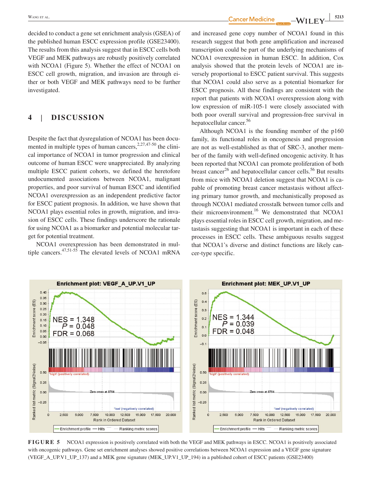decided to conduct a gene set enrichment analysis (GSEA) of the published human ESCC expression profile (GSE23400). The results from this analysis suggest that in ESCC cells both VEGF and MEK pathways are robustly positively correlated with NCOA1 (Figure 5). Whether the effect of NCOA1 on ESCC cell growth, migration, and invasion are through either or both VEGF and MEK pathways need to be further investigated.

# **4** | **DISCUSSION**

Despite the fact that dysregulation of NCOA1 has been documented in multiple types of human cancers,  $2.27,47-50$  the clinical importance of NCOA1 in tumor progression and clinical outcome of human ESCC were unappreciated. By analyzing multiple ESCC patient cohorts, we defined the heretofore undocumented associations between NCOA1, malignant properties, and poor survival of human ESCC and identified NCOA1 overexpression as an independent predictive factor for ESCC patient prognosis. In addition, we have shown that NCOA1 plays essential roles in growth, migration, and invasion of ESCC cells. These findings underscore the rationale for using NCOA1 as a biomarker and potential molecular target for potential treatment.

NCOA1 overexpression has been demonstrated in multiple cancers. $47,51-55$  The elevated levels of NCOA1 mRNA

 **|** Wang et al. **<sup>5213</sup>**

and increased gene copy number of NCOA1 found in this research suggest that both gene amplification and increased transcription could be part of the underlying mechanisms of NCOA1 overexpression in human ESCC. In addition, Cox analysis showed that the protein levels of NCOA1 are inversely proportional to ESCC patient survival. This suggests that NCOA1 could also serve as a potential biomarker for ESCC prognosis. All these findings are consistent with the report that patients with NCOA1 overexpression along with low expression of miR‐105‐1 were closely associated with both poor overall survival and progression‐free survival in hepatocellular cancer.<sup>56</sup>

Although NCOA1 is the founding member of the p160 family, its functional roles in oncogenesis and progression are not as well‐established as that of SRC‐3, another member of the family with well‐defined oncogenic activity. It has been reported that NCOA1 can promote proliferation of both breast cancer<sup>26</sup> and hepatocellular cancer cells.<sup>56</sup> But results from mice with NCOA1 deletion suggest that NCOA1 is capable of promoting breast cancer metastasis without affecting primary tumor growth, and mechanistically proposed as through NCOA1 mediated crosstalk between tumor cells and their microenvironment.<sup>16</sup> We demonstrated that NCOA1 plays essential roles in ESCC cell growth, migration, and metastasis suggesting that NCOA1 is important in each of these processes in ESCC cells. These ambiguous results suggest that NCOA1's diverse and distinct functions are likely cancer‐type specific.



**FIGURE 5** NCOA1 expression is positively correlated with both the VEGF and MEK pathways in ESCC. NCOA1 is positively associated with oncogenic pathways. Gene set enrichment analyses showed positive correlations between NCOA1 expression and a VEGF gene signature (VEGF\_A\_UP.V1\_UP\_137) and a MEK gene signature (MEK\_UP.V1\_UP\_194) in a published cohort of ESCC patients (GSE23400)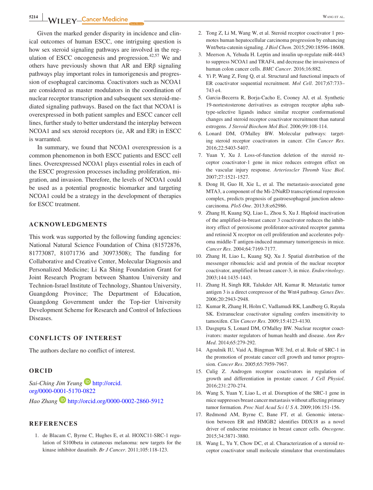**5214 WILEY**—Cancer Medicine WANGER ALL WANGER ALL WANGER ALL WANGER ALL WANGER ALL WANGER ALL WANGER ALL WANGER ALL THE SET OF THE SET OF THE SET OF THE SET OF THE SET OF THE SET OF THE SET OF THE SET OF THE SET OF THE SE

Given the marked gender disparity in incidence and clinical outcomes of human ESCC, one intriguing question is how sex steroid signaling pathways are involved in the regulation of ESCC oncogenesis and progression.<sup>42,57</sup> We and others have previously shown that AR and ERβ signaling pathways play important roles in tumorigenesis and progression of esophageal carcinoma. Coactivators such as NCOA1 are considered as master modulators in the coordination of nuclear receptor transcription and subsequent sex steroid‐mediated signaling pathways. Based on the fact that NCOA1 is overexpressed in both patient samples and ESCC cancer cell lines, further study to better understand the interplay between NCOA1 and sex steroid receptors (ie, AR and ER) in ESCC is warranted.

In summary, we found that NCOA1 overexpression is a common phenomenon in both ESCC patients and ESCC cell lines. Overexpressed NCOA1 plays essential roles in each of the ESCC progression processes including proliferation, migration, and invasion. Therefore, the levels of NCOA1 could be used as a potential prognostic biomarker and targeting NCOA1 could be a strategy in the development of therapies for ESCC treatment.

#### **ACKNOWLEDGMENTS**

This work was supported by the following funding agencies: National Natural Science Foundation of China (81572876, 81773087, 81071736 and 30973508); The funding for Collaborative and Creative Center, Molecular Diagnosis and Personalized Medicine; Li Ka Shing Foundation Grant for Joint Research Program between Shantou University and Technion‐Israel Institute of Technology, Shantou University, Guangdong Province; The Department of Education, Guangdong Government under the Top‐tier University Development Scheme for Research and Control of Infectious Diseases.

#### **CONFLICTS OF INTEREST**

The authors declare no conflict of interest.

#### **ORCID**

*Sai-Ching Jim Yeung* **■** [http://orcid.](http://orcid.org/0000-0001-5170-0822) [org/0000-0001-5170-0822](http://orcid.org/0000-0001-5170-0822) *Hao Zhang* <http://orcid.org/0000-0002-2860-5912>

#### **REFERENCES**

1. de Blacam C, Byrne C, Hughes E, et al. HOXC11‐SRC‐1 regulation of S100beta in cutaneous melanoma: new targets for the kinase inhibitor dasatinib. *Br J Cancer*. 2011;105:118‐123.

- 2. Tong Z, Li M, Wang W, et al. Steroid receptor coactivator 1 promotes human hepatocellular carcinoma progression by enhancing Wnt/beta‐catenin signaling. *J Biol Chem*. 2015;290:18596‐18608.
- 3. Meerson A, Yehuda H. Leptin and insulin up‐regulate miR‐4443 to suppress NCOA1 and TRAF4, and decrease the invasiveness of human colon cancer cells. *BMC Cancer*. 2016;16:882.
- 4. Yi P, Wang Z, Feng Q, et al. Structural and functional impacts of ER coactivator sequential recruitment. *Mol Cell*. 2017;67:733– 743 e4.
- 5. Garcia‐Becerra R, Borja‐Cacho E, Cooney AJ, et al. Synthetic 19‐nortestosterone derivatives as estrogen receptor alpha subtype‐selective ligands induce similar receptor conformational changes and steroid receptor coactivator recruitment than natural estrogens. *J Steroid Biochem Mol Biol*. 2006;99:108‐114.
- 6. Lonard DM, O'Malley BW. Molecular pathways: targeting steroid receptor coactivators in cancer. *Clin Cancer Res*. 2016;22:5403‐5407.
- 7. Yuan Y, Xu J. Loss‐of‐function deletion of the steroid receptor coactivator‐1 gene in mice reduces estrogen effect on the vascular injury response. *Arterioscler Thromb Vasc Biol*. 2007;27:1521‐1527.
- 8. Dong H, Guo H, Xie L, et al. The metastasis‐associated gene MTA3, a component of the Mi‐2/NuRD transcriptional repression complex, predicts prognosis of gastroesophageal junction adenocarcinoma. *PloS One*. 2013;8:e62986.
- 9. Zhang H, Kuang SQ, Liao L, Zhou S, Xu J. Haploid inactivation of the amplified‐in‐breast cancer 3 coactivator reduces the inhibitory effect of peroxisome proliferator‐activated receptor gamma and retinoid X receptor on cell proliferation and accelerates polyoma middle‐T antigen‐induced mammary tumorigenesis in mice. *Cancer Res*. 2004;64:7169‐7177.
- 10. Zhang H, Liao L, Kuang SQ, Xu J. Spatial distribution of the messenger ribonucleic acid and protein of the nuclear receptor coactivator, amplified in breast cancer‐3, in mice. *Endocrinology*. 2003;144:1435‐1443.
- 11. Zhang H, Singh RR, Talukder AH, Kumar R. Metastatic tumor antigen 3 is a direct corepressor of the Wnt4 pathway. *Genes Dev*. 2006;20:2943‐2948.
- 12. Kumar R, Zhang H, Holm C, Vadlamudi RK, Landberg G, Rayala SK. Extranuclear coactivator signaling confers insensitivity to tamoxifen. *Clin Cancer Res*. 2009;15:4123‐4130.
- 13. Dasgupta S, Lonard DM, O'Malley BW. Nuclear receptor coactivators: master regulators of human health and disease. *Ann Rev Med*. 2014;65:279‐292.
- 14. Agoulnik IU, Vaid A, Bingman WE 3rd, et al. Role of SRC‐1 in the promotion of prostate cancer cell growth and tumor progression. *Cancer Res*. 2005;65:7959‐7967.
- 15. Culig Z. Androgen receptor coactivators in regulation of growth and differentiation in prostate cancer. *J Cell Physiol*. 2016;231:270‐274.
- 16. Wang S, Yuan Y, Liao L, et al. Disruption of the SRC‐1 gene in mice suppresses breast cancer metastasis without affecting primary tumor formation. *Proc Natl Acad Sci U S A*. 2009;106:151‐156.
- 17. Redmond AM, Byrne C, Bane FT, et al. Genomic interaction between ER and HMGB2 identifies DDX18 as a novel driver of endocrine resistance in breast cancer cells. *Oncogene*. 2015;34:3871‐3880.
- 18. Wang L, Yu Y, Chow DC, et al. Characterization of a steroid receptor coactivator small molecule stimulator that overstimulates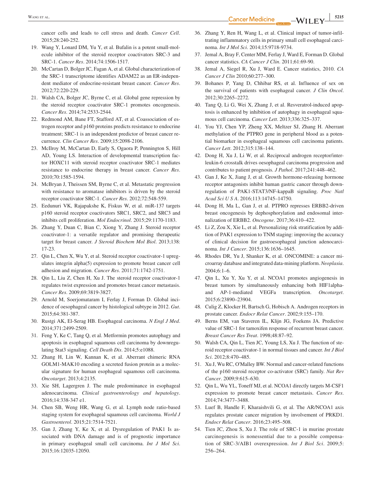**EXANG ET AL. EXANG ET AL. 5215** 

cancer cells and leads to cell stress and death. *Cancer Cell*. 2015;28:240‐252.

- 19. Wang Y, Lonard DM, Yu Y, et al. Bufalin is a potent small‐molecule inhibitor of the steroid receptor coactivators SRC‐3 and SRC‐1. *Cancer Res*. 2014;74:1506‐1517.
- 20. McCartan D, Bolger JC, Fagan A, et al. Global characterization of the SRC‐1 transcriptome identifies ADAM22 as an ER‐independent mediator of endocrine‐resistant breast cancer. *Cancer Res*. 2012;72:220‐229.
- 21. Walsh CA, Bolger JC, Byrne C, et al. Global gene repression by the steroid receptor coactivator SRC‐1 promotes oncogenesis. *Cancer Res*. 2014;74:2533‐2544.
- 22. Redmond AM, Bane FT, Stafford AT, et al. Coassociation of estrogen receptor and p160 proteins predicts resistance to endocrine treatment; SRC‐1 is an independent predictor of breast cancer recurrence. *Clin Cancer Res*. 2009;15:2098‐2106.
- 23. McIlroy M, McCartan D, Early S, Ogaora P, Pennington S, Hill AD, Young LS. Interaction of developmental transcription factor HOXC11 with steroid receptor coactivator SRC‐1 mediates resistance to endocrine therapy in breast cancer. *Cancer Res*. 2010;70:1585‐1594.
- 24. McBryan J, Theissen SM, Byrne C, et al. Metastatic progression with resistance to aromatase inhibitors is driven by the steroid receptor coactivator SRC‐1. *Cancer Res*. 2012;72:548‐559.
- 25. Eedunuri VK, Rajapakshe K, Fiskus W, et al. miR‐137 targets p160 steroid receptor coactivators SRC1, SRC2, and SRC3 and inhibits cell proliferation. *Mol Endocrinol*. 2015;29:1170‐1183.
- 26. Zhang Y, Duan C, Bian C, Xiong Y, Zhang J. Steroid receptor coactivator‐1: a versatile regulator and promising therapeutic target for breast cancer. *J Steroid Biochem Mol Biol*. 2013;138: 17‐23.
- 27. Qin L, Chen X, Wu Y, et al. Steroid receptor coactivator-1 upregulates integrin alpha(5) expression to promote breast cancer cell adhesion and migration. *Cancer Res*. 2011;71:1742‐1751.
- 28. Qin L, Liu Z, Chen H, Xu J. The steroid receptor coactivator‐1 regulates twist expression and promotes breast cancer metastasis. *Cancer Res*. 2009;69:3819‐3827.
- 29. Arnold M, Soerjomataram I, Ferlay J, Forman D. Global incidence of oesophageal cancer by histological subtype in 2012. *Gut*. 2015;64:381‐387.
- 30. Rustgi AK, El‐Serag HB. Esophageal carcinoma. *N Engl J Med*. 2014;371:2499‐2509.
- 31. Feng Y, Ke C, Tang Q, et al. Metformin promotes autophagy and apoptosis in esophageal squamous cell carcinoma by downregulating Stat3 signaling. *Cell Death Dis*. 2014;5:e1088.
- 32. Zhang H, Lin W, Kannan K, et al. Aberrant chimeric RNA GOLM1‐MAK10 encoding a secreted fusion protein as a molecular signature for human esophageal squamous cell carcinoma. *Oncotarget*. 2013;4:2135.
- 33. Xie SH, Lagergren J. The male predominance in esophageal adenocarcinoma. *Clinical gastroenterology and hepatology*. 2016;14:338‐347 e1.
- 34. Chen SB, Weng HR, Wang G, et al. Lymph node ratio‐based staging system for esophageal squamous cell carcinoma. *World J Gastroenterol*. 2015;21:7514‐7521.
- 35. Gan J, Zhang Y, Ke X, et al. Dysregulation of PAK1 Is associated with DNA damage and is of prognostic importance in primary esophageal small cell carcinoma. *Int J Mol Sci*. 2015;16:12035‐12050.
- 36. Zhang Y, Ren H, Wang L, et al. Clinical impact of tumor‐infiltrating inflammatory cells in primary small cell esophageal carcinoma. *Int J Mol Sci*. 2014;15:9718‐9734.
- 37. Jemal A, Bray F, Center MM, Ferlay J, Ward E, Forman D. Global cancer statistics. *CA Cancer J Clin*. 2011;61:69‐90.
- 38. Jemal A, Siegel R, Xu J, Ward E. Cancer statistics, 2010. *CA Cancer J Clin* 2010;60:277–300.
- 39. Bohanes P, Yang D, Chhibar RS, et al. Influence of sex on the survival of patients with esophageal cancer. *J Clin Oncol*. 2012;30:2265–2272.
- 40. Tang Q, Li G, Wei X, Zhang J, et al. Resveratrol‐induced apoptosis is enhanced by inhibition of autophagy in esophageal squamous cell carcinoma. *Cancer Lett*. 2013;336:325–337.
- 41. You YJ, Chen YP, Zheng XX, Meltzer SJ, Zhang H. Aberrant methylation of the PTPRO gene in peripheral blood as a potential biomarker in esophageal squamous cell carcinoma patients. *Cancer Lett*. 2012;315:138–144.
- 42. Dong H, Xu J, Li W, et al. Reciprocal androgen receptor/interleukin‐6 crosstalk drives oesophageal carcinoma progression and contributes to patient prognosis. *J Pathol*. 2017;241:448–462.
- 43. Gan J, Ke X, Jiang J, et al. Growth hormone‐releasing hormone receptor antagonists inhibit human gastric cancer through downregulation of PAK1‐STAT3/NF‐kappaB signaling. *Proc Natl Acad Sci U S A*. 2016;113:14745–14750.
- 44. Dong H, Ma L, Gan J, et al. PTPRO represses ERBB2‐driven breast oncogenesis by dephosphorylation and endosomal internalization of ERBB2. *Oncogene*. 2017;36:410–422.
- 45. Li Z, Zou X, Xie L, et al. Personalizing risk stratification by addition of PAK1 expression to TNM staging: improving the accuracy of clinical decision for gastroesophageal junction adenocarcinoma. *Int J Cancer*. 2015;136:1636–1645.
- 46. Rhodes DR, Yu J, Shanker K, et al. ONCOMINE: a cancer microarray database and integrated data‐mining platform. *Neoplasia*. 2004;6:1–6.
- 47. Qin L, Xu Y, Xu Y, et al. NCOA1 promotes angiogenesis in breast tumors by simultaneously enhancing both HIF1alpha‐ and AP‐1‐mediated VEGFa transcription. *Oncotarget*. 2015;6:23890–23904.
- 48. Culig Z, Klocker H, Bartsch G, Hobisch A. Androgen receptors in prostate cancer. *Endocr Relat Cancer*. 2002;9:155–170.
- 49. Berns EM, van Staveren IL, Klijn JG, Foekens JA. Predictive value of SRC‐1 for tamoxifen response of recurrent breast cancer. *Breast Cancer Res Treat*. 1998;48:87–92.
- 50. Walsh CA, Qin L, Tien JC, Young LS, Xu J. The function of steroid receptor coactivator‐1 in normal tissues and cancer. *Int J Biol Sci*. 2012;8:470–485.
- 51. Xu J, Wu RC, O'Malley BW. Normal and cancer-related functions of the p160 steroid receptor co‐activator (SRC) family. *Nat Rev Cancer*. 2009;9:615–630.
- 52. Qin L, Wu YL, Toneff MJ, et al. NCOA1 directly targets M‐CSF1 expression to promote breast cancer metastasis. *Cancer Res*. 2014;74:3477–3488.
- 53. Luef B, Handle F, Kharaishvili G, et al. The AR/NCOA1 axis regulates prostate cancer migration by involvement of PRKD1. *Endocr Relat Cancer*. 2016;23:495–508.
- 54. Tien JC, Zhou S, Xu J. The role of SRC‐1 in murine prostate carcinogenesis is nonessential due to a possible compensation of SRC‐3/AIB1 overexpression. *Int J Biol Sci*. 2009;5: 256–264.